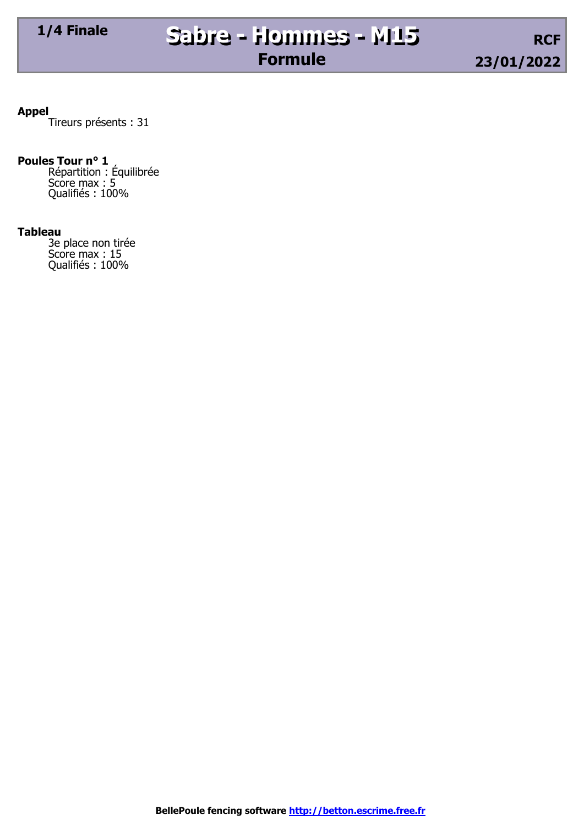**Appel** Tireurs présents : 31

**Poules Tour n° 1**<br>Répartition : Équilibrée Score max : 5 Qualifiés : 100%

### **Tableau**

3e place non tirée Score max : 15 Qualifiés : 100%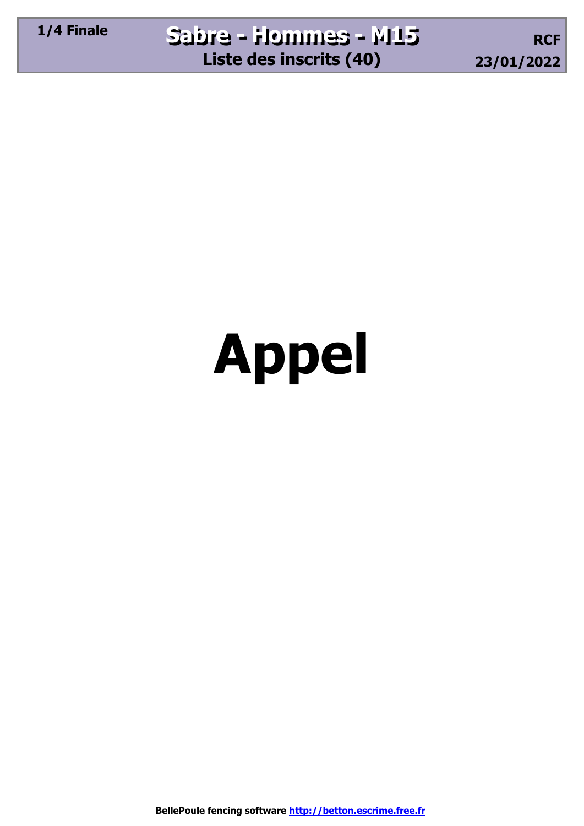# **Appel**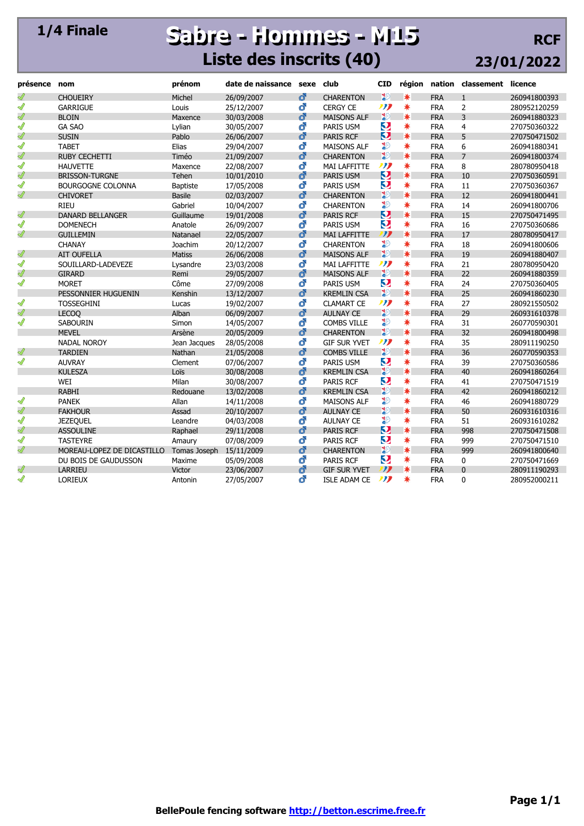### **1/4 Finale Sabre - Hommes - M15 Sabre - Hommes - M15 Liste des inscrits (40)**

| présence      | nom                        | prénom          | date de naissance | sexe | club                | CID              | région |            | nation classement licence |              |
|---------------|----------------------------|-----------------|-------------------|------|---------------------|------------------|--------|------------|---------------------------|--------------|
| Ï             | <b>CHOUEIRY</b>            | Michel          | 26/09/2007        | ď    | <b>CHARENTON</b>    | 30               | *      | <b>FRA</b> | $\mathbf{1}$              | 260941800393 |
| $\mathscr{Q}$ | <b>GARRIGUE</b>            | Louis           | 25/12/2007        | ď    | <b>CERGY CE</b>     | תו               | *      | <b>FRA</b> | $\overline{2}$            | 280952120259 |
| Ï             | <b>BLOIN</b>               | Maxence         | 30/03/2008        | ď    | <b>MAISONS ALF</b>  | 30               | *      | <b>FRA</b> | 3                         | 260941880323 |
| $\mathscr{Q}$ | <b>GA SAO</b>              | Lylian          | 30/05/2007        | ď    | PARIS USM           | Q                | *      | <b>FRA</b> | 4                         | 270750360322 |
| Ï             | <b>SUSIN</b>               | Pablo           | 26/06/2007        | ď    | <b>PARIS RCF</b>    | Ø                | ☀      | <b>FRA</b> | 5                         | 270750471502 |
| $\mathscr{Q}$ | <b>TABET</b>               | Elias           | 29/04/2007        | ď    | <b>MAISONS ALF</b>  | $\frac{1}{2}$    | ☀      | <b>FRA</b> | 6                         | 260941880341 |
| Ï             | <b>RUBY CECHETTI</b>       | Timéo           | 21/09/2007        | ď    | <b>CHARENTON</b>    | 32               | ☀      | <b>FRA</b> | 7                         | 260941800374 |
| $\mathscr{Q}$ | <b>HAUVETTE</b>            | Maxence         | 22/08/2007        | ď    | <b>MAI LAFFITTE</b> | תנו              | ☀      | <b>FRA</b> | 8                         | 280780950418 |
| $\mathscr{Q}$ | <b>BRISSON-TURGNE</b>      | Tehen           | 10/01/2010        | ď    | PARIS USM           | Q                | ☀      | <b>FRA</b> | 10                        | 270750360591 |
| $\mathscr{Q}$ | <b>BOURGOGNE COLONNA</b>   | <b>Baptiste</b> | 17/05/2008        | ď    | PARIS USM           | Q                | ☀      | <b>FRA</b> | 11                        | 270750360367 |
| Ï             | <b>CHIVORET</b>            | <b>Basile</b>   | 02/03/2007        | ď    | <b>CHARENTON</b>    | 30               | ☀      | <b>FRA</b> | 12                        | 260941800441 |
|               | <b>RIEU</b>                | Gabriel         | 10/04/2007        | ď    | <b>CHARENTON</b>    | $\frac{1}{2}$    | ☀      | <b>FRA</b> | 14                        | 260941800706 |
| $\mathscr{Q}$ | <b>DANARD BELLANGER</b>    | Guillaume       | 19/01/2008        | ď    | PARIS RCF           | Ø                | ☀      | <b>FRA</b> | 15                        | 270750471495 |
| $\mathscr{Q}$ | <b>DOMENECH</b>            | Anatole         | 26/09/2007        | ď    | PARIS USM           | Q                | *      | <b>FRA</b> | 16                        | 270750360686 |
| $\mathscr{Q}$ | <b>GUILLEMIN</b>           | Natanael        | 22/05/2007        | ď    | <b>MAI LAFFITTE</b> | תי               | *      | <b>FRA</b> | 17                        | 280780950417 |
|               | CHANAY                     | Joachim         | 20/12/2007        | ď    | <b>CHARENTON</b>    | $\frac{1}{2}$    | ☀      | <b>FRA</b> | 18                        | 260941800606 |
| Ï             | <b>AIT OUFELLA</b>         | <b>Matiss</b>   | 26/06/2008        | ď    | <b>MAISONS ALF</b>  | ПÓ               | *      | <b>FRA</b> | 19                        | 260941880407 |
| $\mathscr{Q}$ | SOUILLARD-LADEVEZE         | Lysandre        | 23/03/2008        | ď    | <b>MAI LAFFITTE</b> | תנו              | ☀      | <b>FRA</b> | 21                        | 280780950420 |
| Ï             | <b>GIRARD</b>              | Remi            | 29/05/2007        | ď    | <b>MAISONS ALF</b>  | 30               | ☀      | <b>FRA</b> | 22                        | 260941880359 |
| $\mathscr{Q}$ | <b>MORET</b>               | Côme            | 27/09/2008        | ď    | PARIS USM           | Q                | ☀      | <b>FRA</b> | 24                        | 270750360405 |
|               | PESSONNIER HUGUENIN        | Kenshin         | 13/12/2007        | ď    | <b>KREMLIN CSA</b>  | 30               | ☀      | <b>FRA</b> | 25                        | 260941860230 |
| $\mathscr{Q}$ | <b>TOSSEGHINI</b>          | Lucas           | 19/02/2007        | ď    | <b>CLAMART CE</b>   | תנו              | ☀      | <b>FRA</b> | 27                        | 280921550502 |
| Ï             | <b>LECOQ</b>               | Alban           | 06/09/2007        | ď    | <b>AULNAY CE</b>    | 30               | ₩      | <b>FRA</b> | 29                        | 260931610378 |
| Í             | <b>SABOURIN</b>            | Simon           | 14/05/2007        | ď    | <b>COMBS VILLE</b>  | $\frac{1}{2}$    | ∗      | <b>FRA</b> | 31                        | 260770590301 |
|               | <b>MEVEL</b>               | Arsène          | 20/05/2009        | ď    | <b>CHARENTON</b>    | 30               | ☀      | <b>FRA</b> | 32                        | 260941800498 |
|               | <b>NADAL NOROY</b>         | Jean Jacques    | 28/05/2008        | ď    | <b>GIF SUR YVET</b> | תנו              | ☀      | <b>FRA</b> | 35                        | 280911190250 |
| Ï             | <b>TARDIEN</b>             | Nathan          | 21/05/2008        | ď    | <b>COMBS VILLE</b>  | 30               | ☀      | <b>FRA</b> | 36                        | 260770590353 |
| $\mathscr{Q}$ | <b>AUVRAY</b>              | Clement         | 07/06/2007        | ď    | PARIS USM           | Q                | ☀      | <b>FRA</b> | 39                        | 270750360586 |
|               | <b>KULESZA</b>             | Loïs            | 30/08/2008        | ď    | <b>KREMLIN CSA</b>  | 30               | ☀      | <b>FRA</b> | 40                        | 260941860264 |
|               | WEI                        | Milan           | 30/08/2007        | ď    | PARIS RCF           | Q                | ☀      | <b>FRA</b> | 41                        | 270750471519 |
|               | <b>RABHI</b>               | Redouane        | 13/02/2008        | ď    | <b>KREMLIN CSA</b>  | 30               | ☀      | <b>FRA</b> | 42                        | 260941860212 |
| $\mathscr{Q}$ | <b>PANEK</b>               | Allan           | 14/11/2008        | ď    | <b>MAISONS ALF</b>  | $\frac{1}{2}$    | *      | <b>FRA</b> | 46                        | 260941880729 |
| Ï             | <b>FAKHOUR</b>             | Assad           | 20/10/2007        | ď    | <b>AULNAY CE</b>    | 30               | *      | <b>FRA</b> | 50                        | 260931610316 |
| $\mathscr{Q}$ | <b>JEZEQUEL</b>            | Leandre         | 04/03/2008        | ď    | <b>AULNAY CE</b>    | $\frac{1}{2}$    | ☀      | <b>FRA</b> | 51                        | 260931610282 |
| Ï             | <b>ASSOULINE</b>           | Raphael         | 29/11/2008        | ď    | <b>PARIS RCF</b>    | Q                | ∗      | <b>FRA</b> | 998                       | 270750471508 |
| $\mathscr{Q}$ | <b>TASTEYRE</b>            | Amaury          | 07/08/2009        | ď    | <b>PARIS RCF</b>    | ູ                | ☀      | <b>FRA</b> | 999                       | 270750471510 |
| Ï             | MOREAU-LOPEZ DE DICASTILLO | Tomas Joseph    | 15/11/2009        | ď    | <b>CHARENTON</b>    | IЮ               | ∗      | <b>FRA</b> | 999                       | 260941800640 |
|               | DU BOIS DE GAUDUSSON       | Maxime          | 05/09/2008        | ď    | <b>PARIS RCF</b>    | Q                | ∗      | <b>FRA</b> | 0                         | 270750471669 |
| Ï             | <b>LARRIEU</b>             | Victor          | 23/06/2007        | ď    | <b>GIF SUR YVET</b> | IJ               | ∗      | <b>FRA</b> | $\Omega$                  | 280911190293 |
| $\mathscr{Q}$ | <b>LORIEUX</b>             | Antonin         | 27/05/2007        | ď    | <b>ISLE ADAM CE</b> | $\boldsymbol{m}$ | ☀      | <b>FRA</b> | 0                         | 280952000211 |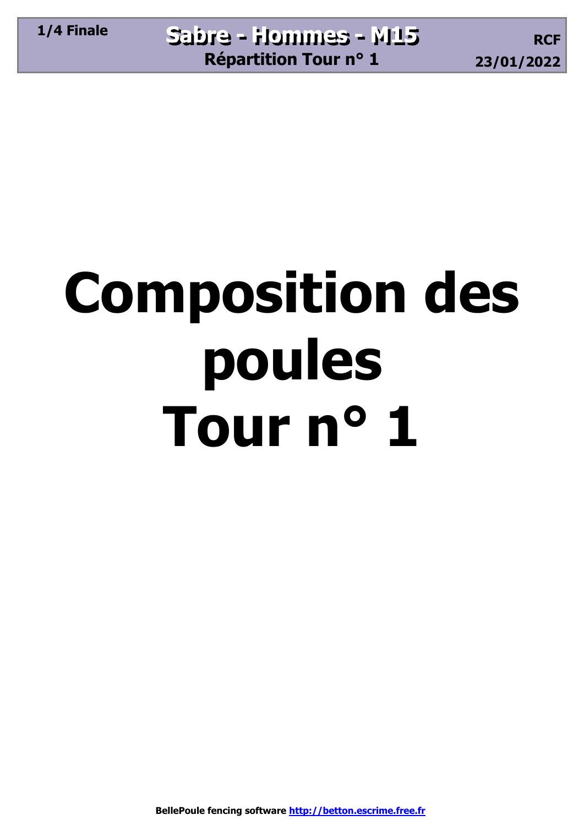# **Composition des poules Tour n° 1**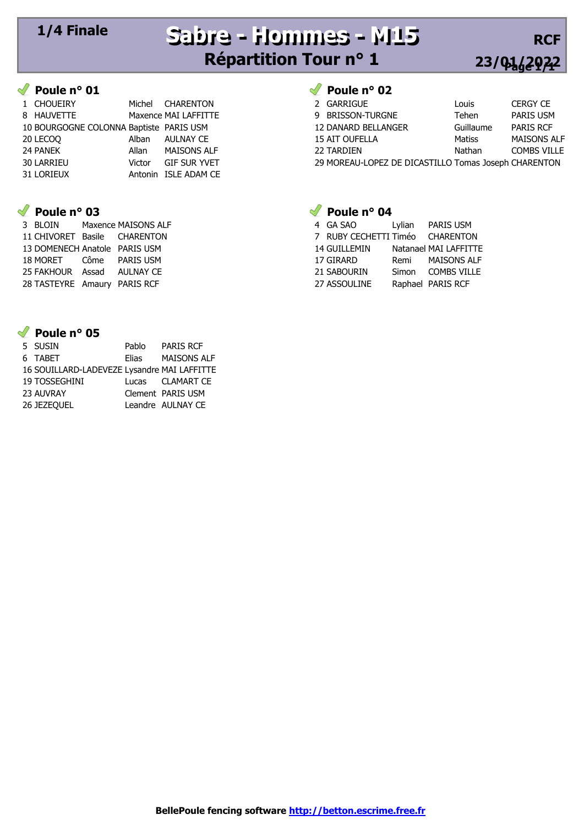### 1/4 Finale

### Sabre - Hommes - M15 Répartition Tour n° 1



### Soule n° 01

| 1 CHOUEIRY                              |        | Michel CHARENTON     |
|-----------------------------------------|--------|----------------------|
| 8 HAUVETTE                              |        | Maxence MAI LAFFITTE |
| 10 BOURGOGNE COLONNA Baptiste PARIS USM |        |                      |
| 20 LECOQ                                |        | Alban AULNAY CE      |
| 24 PANEK                                |        | Allan MAISONS ALF    |
| <b>30 LARRIEU</b>                       | Victor | <b>GIF SUR YVET</b>  |
| 31 LORIEUX                              |        | Antonin ISLE ADAM CE |

### $\blacktriangledown$  Poule n° 03

| 3 BLOIN                      |      | Maxence MAISONS ALF          |
|------------------------------|------|------------------------------|
|                              |      | 11 CHIVORET Basile CHARENTON |
| 13 DOMENECH Anatole          |      | PARIS USM                    |
| 18 MORET                     | Côme | <b>PARIS USM</b>             |
| 25 FAKHOUR Assad             |      | <b>AULNAY CE</b>             |
| 28 TASTEYRE Amaury PARIS RCF |      |                              |

### $\blacktriangledown$  Poule n° 05

|  | 5 SUSIN                                     | Pablo        | <b>PARIS RCF</b>   |
|--|---------------------------------------------|--------------|--------------------|
|  | 6 TABET                                     | <b>Flias</b> | <b>MAISONS ALF</b> |
|  | 16 SOUILLARD-LADEVEZE Lysandre MAI LAFFITTE |              |                    |
|  | <b>19 TOSSEGHINI</b>                        |              | Lucas CLAMART CE   |
|  | 23 AUVRAY                                   |              | Clement PARIS USM  |
|  | 26 JEZEQUEL                                 |              | Leandre AULNAY CE  |
|  |                                             |              |                    |

### Poule nº 02

| 2 GARRIGUE                                           | Louis     | <b>CERGY CE</b>    |
|------------------------------------------------------|-----------|--------------------|
| 9 BRISSON-TURGNE                                     | Tehen     | <b>PARIS USM</b>   |
| <b>12 DANARD BELLANGER</b>                           | Guillaume | <b>PARIS RCF</b>   |
| <b>15 AIT OUFELLA</b>                                | Matiss    | <b>MAISONS ALF</b> |
| 22 TARDIEN                                           | Nathan    | <b>COMBS VILLE</b> |
| 29 MOREAU-LOPEZ DE DICASTILLO Tomas Joseph CHARENTON |           |                    |

### $\blacktriangledown$  Poule n° 04

|  | 4 GA SAO              | Lylian | PARIS USM             |
|--|-----------------------|--------|-----------------------|
|  | 7 RUBY CECHETTI Timéo |        | <b>CHARENTON</b>      |
|  | 14 GUILLEMIN          |        | Natanael MAI LAFFITTE |
|  | 17 GIRARD             |        | Remi MAISONS ALF      |
|  | 21 SABOURIN           |        | Simon COMBS VILLE     |
|  | 27 ASSOULINE          |        | Raphael PARIS RCF     |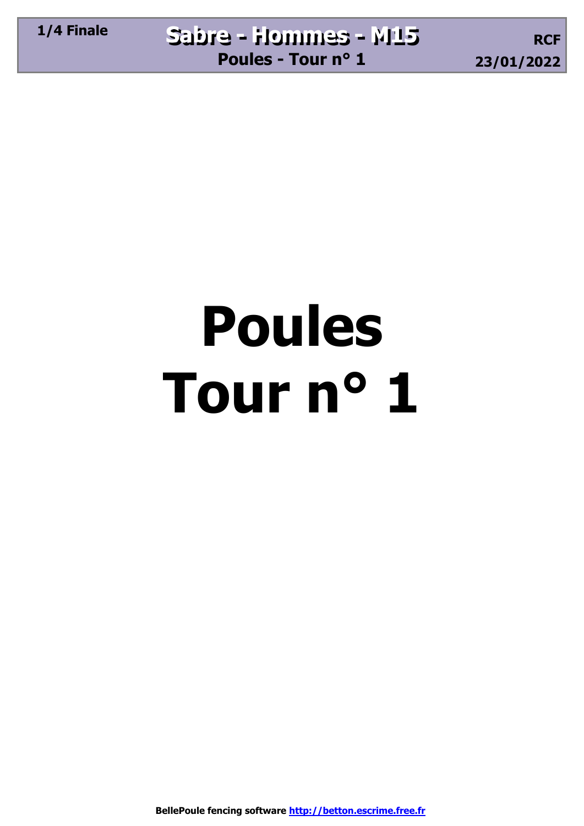# **Poules Tour n° 1**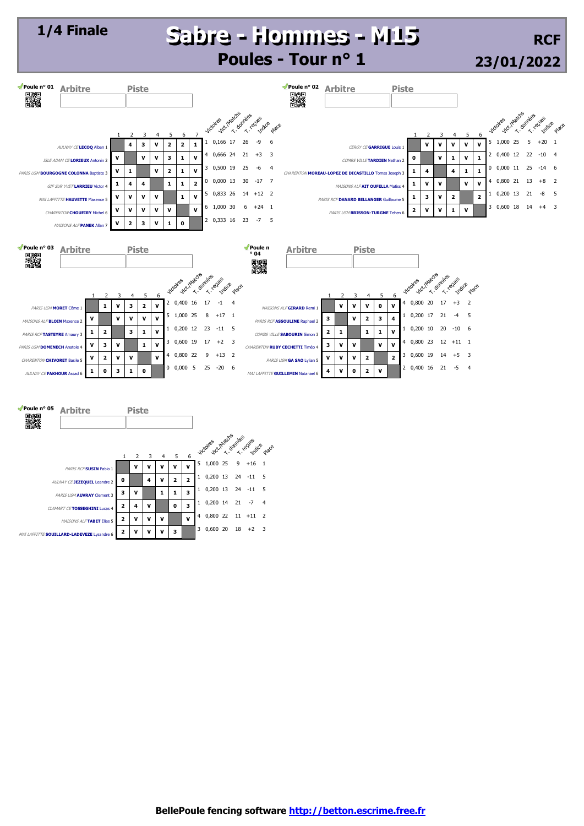### **1/4 Finale Sabre - Hommes - M15 Sabre - Hommes - M15 Poules - Tour n° 1**

**RCF**

**23/01/2022**

| Poule $n^{\circ}$ 01<br>驧 | <b>Arbitre</b>                         |   |                         |             |                         | <b>Piste</b>            |                |                         |                            |                         |    |                             |                |            |                                |                | Poule $n^{\circ}$ 02<br>嬲                           |                         | <b>Arbitre</b>           |             |                                |             | <b>Piste</b>                           |                |                |            |                         |                |                         |   |            |            |                         |        |                |
|---------------------------|----------------------------------------|---|-------------------------|-------------|-------------------------|-------------------------|----------------|-------------------------|----------------------------|-------------------------|----|-----------------------------|----------------|------------|--------------------------------|----------------|-----------------------------------------------------|-------------------------|--------------------------|-------------|--------------------------------|-------------|----------------------------------------|----------------|----------------|------------|-------------------------|----------------|-------------------------|---|------------|------------|-------------------------|--------|----------------|
|                           |                                        |   |                         |             | $\overline{2}$          | 3                       | $\overline{4}$ | -5                      | 6                          | 7                       |    | Vict.Intarctis<br>Victoires |                | T. domiees | T-Techles<br>Indice            | place          |                                                     |                         |                          |             |                                |             |                                        | -1             | $\overline{2}$ | 3          | $\overline{4}$          | -5             | 6                       |   | Victoires  | WE IMARCTS | T. domiées<br>T. recues | Indice | Place          |
|                           | AULNAY CELECOQ Alban 1                 |   |                         |             | 4                       | 3                       | v              | $\overline{\mathbf{2}}$ | $\overline{\mathbf{2}}$    | 1                       |    | 0,166                       | 17             | 26         | -9                             | -6             |                                                     |                         |                          |             |                                |             | <b>CERGY CE GARRIGUE Louis 1</b>       |                | v              | v          | v                       | v              | v                       |   | 5 1,000 25 |            | 5                       | $+20$  | $\overline{1}$ |
|                           | ISLE ADAM CE LORIEUX Antonin 2         |   |                         | v           |                         | v                       | v              | 3                       | 1                          | $\mathbf v$             | 4  | 0.666 24                    |                | 21         | $+3$                           | 3              |                                                     |                         |                          |             |                                |             | COMBS VILLE TARDIEN Nathan 2           | 0              |                | v          | 1                       | $\mathbf v$    | 1                       |   | 2 0.400 12 |            | 22                      | $-10$  | $\overline{4}$ |
|                           | PARIS USM BOURGOGNE COLONNA Baptiste 3 |   |                         | v           | 1                       |                         | v              | $\overline{\mathbf{2}}$ | 1                          | v                       | 3  | 0.500 19                    |                | 25         | -6                             | $\overline{4}$ | CHARENTON MOREAU-LOPEZ DE DICASTILLO Tomas Joseph 3 |                         |                          |             |                                |             |                                        | 1              | 4              |            | 4                       | $\mathbf{1}$   | 1                       | 0 | $0.000$ 11 |            | 25                      | $-14$  | - 6            |
|                           | <b>GIF SUR YVET LARRIEU Victor 4</b>   |   |                         | 1           | 4                       | 4                       |                | 1                       | 1                          | $\overline{\mathbf{2}}$ | 0  | 0,000 13                    |                | 30         | $-17$ 7                        |                |                                                     |                         |                          |             |                                |             | MAISONS ALF AIT OUFELLA Matiss 4       | $\mathbf{1}$   | v              | v          |                         | $\mathbf v$    | v                       |   | 4 0,800 21 |            | 13                      | $+8$   | - 2            |
|                           | MAI LAFFITTE HAUVETTE Maxence 5        |   |                         | $\mathbf v$ | v                       | v                       | v              |                         | $\mathbf{1}$               | $\mathbf{v}$            | 5. | 0,833 26                    |                |            | $14 + 12$ 2                    |                |                                                     |                         |                          |             |                                |             | PARIS RCF DANARD BELLANGER Guillaume 5 | 1              | 3              | v          | $\overline{\mathbf{2}}$ |                | $\overline{\mathbf{2}}$ |   | 0,200 13   |            | 21                      | $-8$   | -5             |
|                           | CHARENTON CHOUEIRY Michel 6            |   |                         | v           | v                       | V                       | V              | $\mathbf v$             |                            | $\mathbf{v}$            | 6  | 1,000 30                    |                | 6          | $+24$ 1                        |                |                                                     |                         |                          |             |                                |             | PARIS USM BRISSON-TURGNE Tehen 6       | $\overline{2}$ | v              | v          | 1                       | v              |                         |   | 3 0,600 18 |            | 14                      | $+4$   | - 3            |
|                           | MAISONS ALF PANEK Allan 7              |   |                         | v           | $\overline{\mathbf{2}}$ | 3                       | v              | 1                       | $\mathbf 0$                |                         |    | 2 0,333 16                  |                | 23         | $-7$                           | - 5            |                                                     |                         |                          |             |                                |             |                                        |                |                |            |                         |                |                         |   |            |            |                         |        |                |
| Poule $n^{\circ}$ 03<br>▓ | <b>Arbitre</b>                         |   | $\overline{2}$          | 3           | $\overline{4}$          | <b>Piste</b><br>5       | 6              |                         | Vict.Ithactes<br>Victoires | T. données              |    | T-Tecues<br>Indice          | place          |            | ∜Poule n<br>$^{\circ}$ 04<br>鑿 |                | <b>Arbitre</b>                                      |                         | $\overline{\phantom{a}}$ | 3           | <b>Piste</b><br>$\overline{4}$ | 5           | 6                                      | Victoires      | Vict.Imaches   | T. domiees | T-recues                | Indice         | place                   |   |            |            |                         |        |                |
|                           | PARIS USM MORET Côme 1                 |   | 1                       | v           | 3                       | $\overline{\mathbf{2}}$ | v              | $\overline{2}$          | 0.400 16                   |                         | 17 | $-1$                        | $\overline{4}$ |            |                                |                | MAISONS ALF GIRARD Remi 1                           |                         | v                        | v           | v                              | $\mathbf 0$ | $\mathbf v$                            |                | 0,800 20       | 17         | $+3$                    | 2              |                         |   |            |            |                         |        |                |
|                           | MAISONS ALF <b>BLOIN</b> Maxence 2     | v |                         | v           | v                       | v                       | v              | 5                       | 1,000 25                   |                         | 8  | $+17$ 1                     |                |            |                                |                | PARIS RCF ASSOULINE Raphael 2                       | 3                       |                          | v           | $\overline{\mathbf{2}}$        | 3           | $\overline{4}$                         |                | 0,200 17       | 21         | $-4$                    | - 5            |                         |   |            |            |                         |        |                |
|                           | PARIS RCFTASTEYRE Amaury 3             | 1 | $\overline{\mathbf{z}}$ |             | 3                       | 1                       | V              | 1                       | 0,200 12 23                |                         |    | $-11$ 5                     |                |            |                                |                | <b>COMBS VILLE SABOURIN Simon 3</b>                 | $\overline{\mathbf{2}}$ | 1                        |             | $\mathbf{1}$                   | 1           | 1<br>$\mathbf v$                       |                | 0,200 10       | 20         |                         | $-10$ 6        |                         |   |            |            |                         |        |                |
|                           | PARIS USM DOMENECH Anatole 4           | v | 3                       | v           |                         | $\mathbf{1}$            | V              | 3                       | 0,600 19                   |                         | 17 | $+2$ 3                      |                |            |                                |                | CHARENTON RUBY CECHETTI Timéo 4                     | 3                       | $\mathbf v$              | v           |                                | $\mathbf v$ | $\mathbf v$                            | 4              | 0,800 23       |            | $12 + 11$ 1             |                |                         |   |            |            |                         |        |                |
|                           | CHARENTON CHIVORET Basile 5            | v | $\overline{\mathbf{2}}$ | v           | v                       |                         | $\mathbf v$    | 4                       | 0,800 22                   |                         | 9  | $+13$ 2                     |                |            |                                |                | PARIS USM GA SAO Lylian 5                           | $\mathbf v$             | v                        | v           | $\overline{2}$                 |             | $\overline{\mathbf{2}}$                | 3              | 0,600 19       | 14         | $+5$                    | $_{3}$         |                         |   |            |            |                         |        |                |
|                           | AULNAY CE FAKHOUR Assad 6              | 1 | 0                       | 3           | 1                       | 0                       |                |                         | $0$ $0,000$ 5              |                         | 25 | -20                         | - 6            |            |                                |                | MAI LAFFITTE GUILLEMIN Natanael 6                   | 4                       | $\mathbf v$              | $\mathbf 0$ | $\overline{\mathbf{2}}$        | $\mathbf v$ |                                        | 2 0,400 16     |                |            | 21 - 5                  | $\overline{4}$ |                         |   |            |            |                         |        |                |
|                           |                                        |   |                         |             |                         |                         |                |                         |                            |                         |    |                             |                |            |                                |                |                                                     |                         |                          |             |                                |             |                                        |                |                |            |                         |                |                         |   |            |            |                         |        |                |

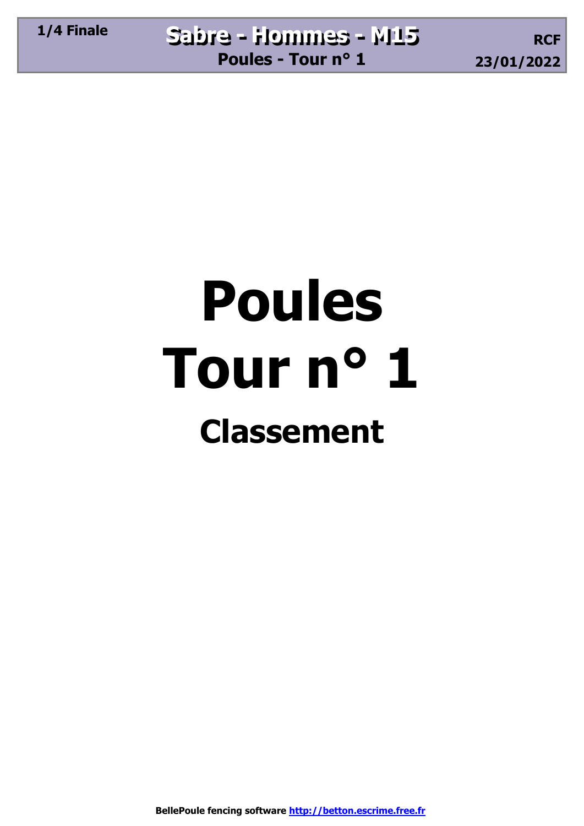## **Poules Tour n° 1 Classement**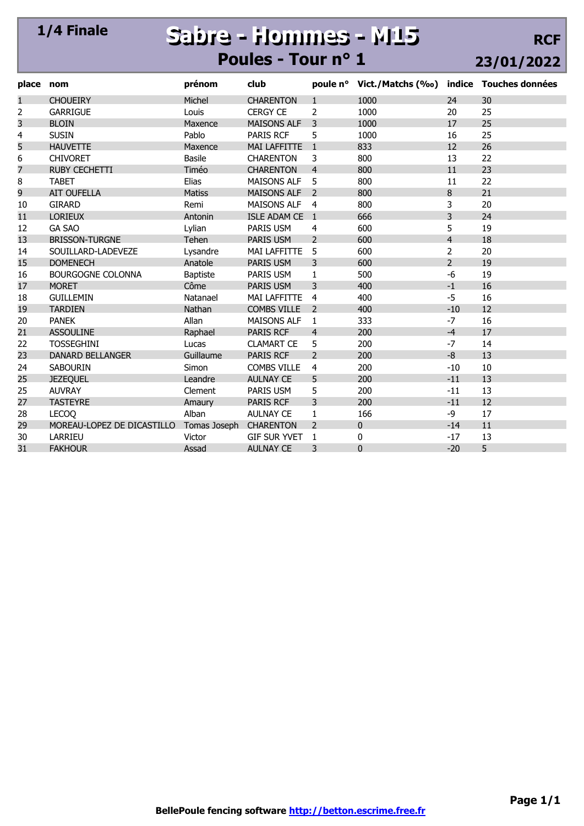### **1/4 Finale Sabre - Hommes - M15 Sabre - Hommes - M15 Poules - Tour n° 1**

| place          | nom                        | prénom          | club                |                          | poule nº Vict./Matchs (‰) indice Touches données |                |    |
|----------------|----------------------------|-----------------|---------------------|--------------------------|--------------------------------------------------|----------------|----|
| 1              | <b>CHOUEIRY</b>            | Michel          | <b>CHARENTON</b>    | $\mathbf{1}$             | 1000                                             | 24             | 30 |
| 2              | <b>GARRIGUE</b>            | Louis           | <b>CERGY CE</b>     | $\overline{2}$           | 1000                                             | 20             | 25 |
| 3              | <b>BLOIN</b>               | Maxence         | <b>MAISONS ALF</b>  | 3                        | 1000                                             | 17             | 25 |
| 4              | <b>SUSIN</b>               | Pablo           | <b>PARIS RCF</b>    | 5                        | 1000                                             | 16             | 25 |
| 5              | <b>HAUVETTE</b>            | Maxence         | <b>MAI LAFFITTE</b> | $\mathbf{1}$             | 833                                              | 12             | 26 |
| 6              | <b>CHIVORET</b>            | <b>Basile</b>   | <b>CHARENTON</b>    | 3                        | 800                                              | 13             | 22 |
| $\overline{7}$ | <b>RUBY CECHETTI</b>       | Timéo           | <b>CHARENTON</b>    | $\overline{4}$           | 800                                              | 11             | 23 |
| 8              | <b>TABET</b>               | Elias           | <b>MAISONS ALF</b>  | 5                        | 800                                              | 11             | 22 |
| 9              | <b>AIT OUFELLA</b>         | <b>Matiss</b>   | <b>MAISONS ALF</b>  | $\mathcal{P}$            | 800                                              | 8              | 21 |
| 10             | <b>GIRARD</b>              | Remi            | <b>MAISONS ALF</b>  | 4                        | 800                                              | 3              | 20 |
| 11             | <b>LORIEUX</b>             | Antonin         | ISLE ADAM CE        | $\overline{1}$           | 666                                              | 3              | 24 |
| 12             | <b>GA SAO</b>              | Lylian          | PARIS USM           | 4                        | 600                                              | 5              | 19 |
| 13             | <b>BRISSON-TURGNE</b>      | Tehen           | <b>PARIS USM</b>    | $\mathcal{P}$            | 600                                              | $\overline{4}$ | 18 |
| 14             | SOUILLARD-LADEVEZE         | Lysandre        | <b>MAI LAFFITTE</b> | 5                        | 600                                              | $\overline{2}$ | 20 |
| 15             | <b>DOMENECH</b>            | Anatole         | <b>PARIS USM</b>    | 3                        | 600                                              | $\overline{2}$ | 19 |
| 16             | <b>BOURGOGNE COLONNA</b>   | <b>Baptiste</b> | PARIS USM           | $\mathbf{1}$             | 500                                              | $-6$           | 19 |
| 17             | <b>MORET</b>               | Côme            | <b>PARIS USM</b>    | 3                        | 400                                              | $-1$           | 16 |
| 18             | <b>GUILLEMIN</b>           | Natanael        | <b>MAI LAFFITTE</b> | 4                        | 400                                              | $-5$           | 16 |
| 19             | <b>TARDIEN</b>             | Nathan          | <b>COMBS VILLE</b>  | 2                        | 400                                              | $-10$          | 12 |
| 20             | <b>PANEK</b>               | Allan           | <b>MAISONS ALF</b>  | $\mathbf{1}$             | 333                                              | $-7$           | 16 |
| 21             | <b>ASSOULINE</b>           | Raphael         | <b>PARIS RCF</b>    | $\overline{4}$           | 200                                              | $-4$           | 17 |
| 22             | <b>TOSSEGHINI</b>          | Lucas           | <b>CLAMART CE</b>   | 5                        | 200                                              | $-7$           | 14 |
| 23             | <b>DANARD BELLANGER</b>    | Guillaume       | <b>PARIS RCF</b>    | $\mathcal{P}$            | 200                                              | $-8$           | 13 |
| 24             | <b>SABOURIN</b>            | Simon           | <b>COMBS VILLE</b>  | $\overline{4}$           | 200                                              | $-10$          | 10 |
| 25             | <b>JEZEQUEL</b>            | Leandre         | <b>AULNAY CE</b>    | 5                        | 200                                              | $-11$          | 13 |
| 25             | <b>AUVRAY</b>              | Clement         | PARIS USM           | 5                        | 200                                              | $-11$          | 13 |
| 27             | <b>TASTEYRE</b>            | Amaury          | <b>PARIS RCF</b>    | 3                        | 200                                              | $-11$          | 12 |
| 28             | <b>LECOQ</b>               | Alban           | <b>AULNAY CE</b>    | $\mathbf{1}$             | 166                                              | $-9$           | 17 |
| 29             | MOREAU-LOPEZ DE DICASTILLO | Tomas Joseph    | <b>CHARENTON</b>    | $\overline{\phantom{0}}$ | $\Omega$                                         | $-14$          | 11 |
| 30             | LARRIEU                    | Victor          | <b>GIF SUR YVET</b> | $\mathbf{1}$             | 0                                                | $-17$          | 13 |
| 31             | <b>FAKHOUR</b>             | Assad           | <b>AULNAY CE</b>    | 3                        | $\Omega$                                         | $-20$          | 5  |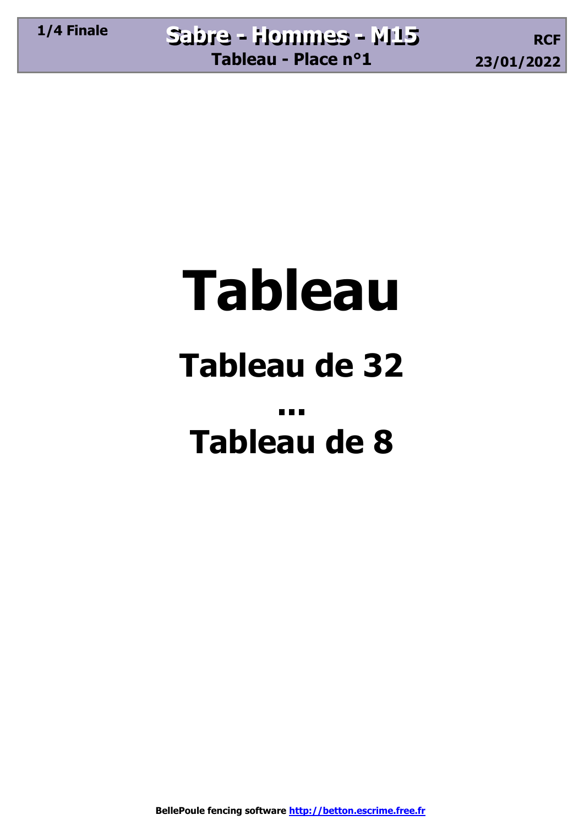## **Tableau Tableau de 32 ... Tableau de 8**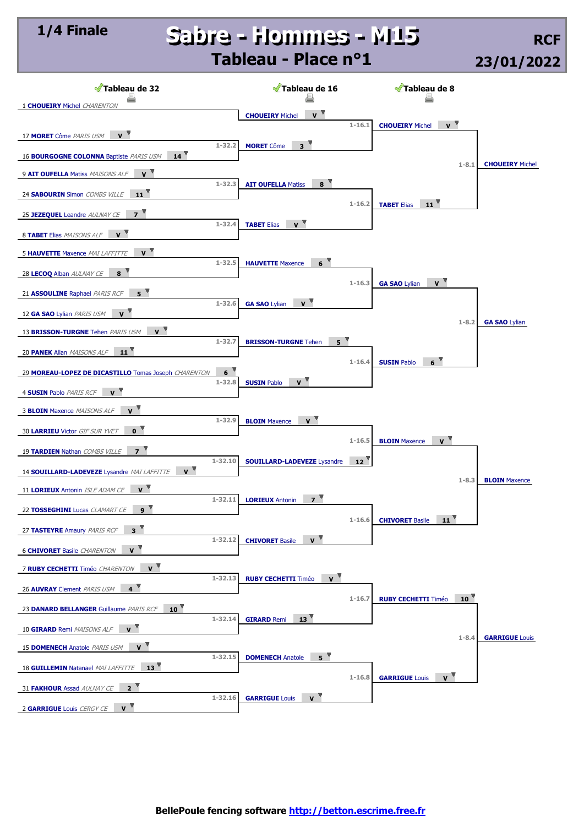### **1/4 Finale Sabre - Hommes - M15 Sabre - Hommes - M15**

**Tableau - Place n°1**

| <b>√Tableau de 32</b>                                                     |                 | Tableau de 16                                                      |                | <b>√Tableau de 8</b>                                          |                        |
|---------------------------------------------------------------------------|-----------------|--------------------------------------------------------------------|----------------|---------------------------------------------------------------|------------------------|
| 1 <b>CHOUEIRY</b> Michel CHARENTON                                        |                 |                                                                    |                |                                                               |                        |
|                                                                           |                 | $V$ <sup><math>\overline{V}</math></sup><br><b>CHOUEIRY Michel</b> | $1 - 16.1$     | $V$ <sup><math>\bar{V}</math></sup><br><b>CHOUEIRY Michel</b> |                        |
| 17 MORET Côme PARIS USM<br>$V^{\dagger}$                                  |                 |                                                                    |                |                                                               |                        |
| $14^{\degree}$<br>16 <b>BOURGOGNE COLONNA</b> Baptiste PARIS USM          | $1 - 32.2$      | $3^{\circ}$<br><b>MORET</b> Côme                                   |                | $1 - 8.1$                                                     |                        |
| $V^{\top}$<br>9 AIT OUFELLA Matiss MAISONS ALF                            |                 |                                                                    |                |                                                               | <b>CHOUEIRY Michel</b> |
| $11^{\degree}$<br>24 SABOURIN Simon COMBS VILLE                           | $1 - 32.3$      | 8<br><b>AIT OUFELLA Matiss</b>                                     |                |                                                               |                        |
| 25 JEZEQUEL Leandre AULNAY CE                                             | $1 - 32.4$      | <b>TABET Elias</b><br>$\mathbf{v}$                                 | $1 - 16.2$     | $11^{\degree}$<br><b>TABET Elias</b>                          |                        |
| 8 TABET Elias MAISONS ALF<br>$V$ <sup><math>\bar{V}</math></sup>          |                 |                                                                    |                |                                                               |                        |
| <b>5 HAUVETTE</b> Maxence MAI LAFFITTE<br>$\mathbf{v}$                    |                 |                                                                    |                |                                                               |                        |
| 28 LECOQ Alban AULNAY CE<br>8 <sup>2</sup>                                | $1 - 32.5$      | $6^{\circ}$<br><b>HAUVETTE Maxence</b>                             | $1 - 16.3$     | $\mathbf{v}$<br><b>GA SAO Lylian</b>                          |                        |
| $5^{\circ}$<br>21 ASSOULINE Raphael PARIS RCF                             |                 |                                                                    |                |                                                               |                        |
| $V$ <sup><math>\mathbf{V}</math></sup><br>12 GA SAO Lylian PARIS USM      | $1 - 32.6$      | $V^{\top}$<br><b>GA SAO Lylian</b>                                 |                |                                                               |                        |
| $\mathsf{v}$<br>13 BRISSON-TURGNE Tehen PARIS USM                         |                 |                                                                    |                | $1 - 8.2$                                                     | <b>GA SAO Lylian</b>   |
| $11^{\degree}$<br>20 PANEK Allan MAISONS ALF                              | $1 - 32.7$      | $5^{\circ}$<br><b>BRISSON-TURGNE Tehen</b>                         |                |                                                               |                        |
| 29 MOREAU-LOPEZ DE DICASTILLO Tomas Joseph CHARENTON                      | 6<br>$1 - 32.8$ | $\mathbf{v}$<br><b>SUSIN Pablo</b>                                 | $1 - 16.4$     | $6^{\circ}$<br><b>SUSIN Pablo</b>                             |                        |
| 4 SUSIN Pablo PARIS RCF<br>$\mathbf{v}$                                   |                 |                                                                    |                |                                                               |                        |
| $\mathbf{v}$<br>3 <b>BLOIN</b> Maxence MAISONS ALF                        | $1 - 32.9$      | $V^{\top}$<br><b>BLOIN</b> Maxence                                 |                |                                                               |                        |
| $\mathbf{0}$<br>30 LARRIEU Victor GIF SUR YVET                            |                 |                                                                    |                |                                                               |                        |
| $7^{\circ}$<br>19 TARDIEN Nathan COMBS VILLE                              |                 |                                                                    | $1 - 16.5$     | $\mathbf{v}$<br><b>BLOIN</b> Maxence                          |                        |
| $\mathbf{v}$<br>14 <b>SOUILLARD-LADEVEZE</b> Lysandre MAI LAFFITTE        | $1 - 32.10$     | <b>SOUILLARD-LADEVEZE</b> Lysandre                                 | $12^{\degree}$ |                                                               |                        |
| 11 <b>LORIEUX</b> Antonin ISLE ADAM CE<br>$\mathbf{v}$                    |                 |                                                                    |                | $1 - 8.3$                                                     | <b>BLOIN</b> Maxence   |
| $9^{\frac{1}{2}}$<br>22 TOSSEGHINI Lucas CLAMART CE                       | $1 - 32.11$     | $\overline{z}$<br><b>LORIEUX</b> Antonin                           |                |                                                               |                        |
| $\overline{\mathbf{3}}$<br>27 TASTEYRE Amaury PARIS RCF                   |                 |                                                                    | $1 - 16.6$     | <b>CHIVORET Basile</b><br>11                                  |                        |
| $V^{\top}$<br><b>6 CHIVORET</b> Basile CHARENTON                          | $1 - 32.12$     | $V^{\top}$<br><b>CHIVORET Basile</b>                               |                |                                                               |                        |
| $\mathsf{v}$                                                              |                 |                                                                    |                |                                                               |                        |
| 7 RUBY CECHETTI Timéo CHARENTON                                           | $1 - 32.13$     | $V$ <sup>V</sup><br><b>RUBY CECHETTI Timéo</b>                     |                |                                                               |                        |
| 26 AUVRAY Clement PARIS USM<br>$\overline{\mathbf{4}}$                    |                 |                                                                    | $1 - 16.7$     | <b>RUBY CECHETTI Timéo</b><br>$10^{\degree}$                  |                        |
| $10^{\degree}$<br>23 DANARD BELLANGER Guillaume PARIS RCF                 | $1 - 32.14$     | <b>GIRARD Remi</b><br>$13^{\degree}$                               |                |                                                               |                        |
| $V^{\top}$<br>10 GIRARD Remi MAISONS ALF                                  |                 |                                                                    |                | $1 - 8.4$                                                     | <b>GARRIGUE Louis</b>  |
| $V$ <sup><math>\overline{V}</math></sup><br>15 DOMENECH Anatole PARIS USM |                 |                                                                    |                |                                                               |                        |
| $13^{\degree}$<br>18 <b>GUILLEMIN</b> Natanael MAI LAFFITTE               | $1 - 32.15$     | $5^{\circ}$<br><b>DOMENECH Anatole</b>                             |                |                                                               |                        |
| 31 FAKHOUR Assad AULNAY CE<br>$\overline{2}$                              |                 |                                                                    | $1 - 16.8$     | $V$ <sup><math>\bar{V}</math></sup><br><b>GARRIGUE Louis</b>  |                        |
| $V$ <sup><math>\overline{V}</math></sup><br>2 GARRIGUE Louis CERGY CE     | $1 - 32.16$     | $\mathbf{v}$<br><b>GARRIGUE Louis</b>                              |                |                                                               |                        |
|                                                                           |                 |                                                                    |                |                                                               |                        |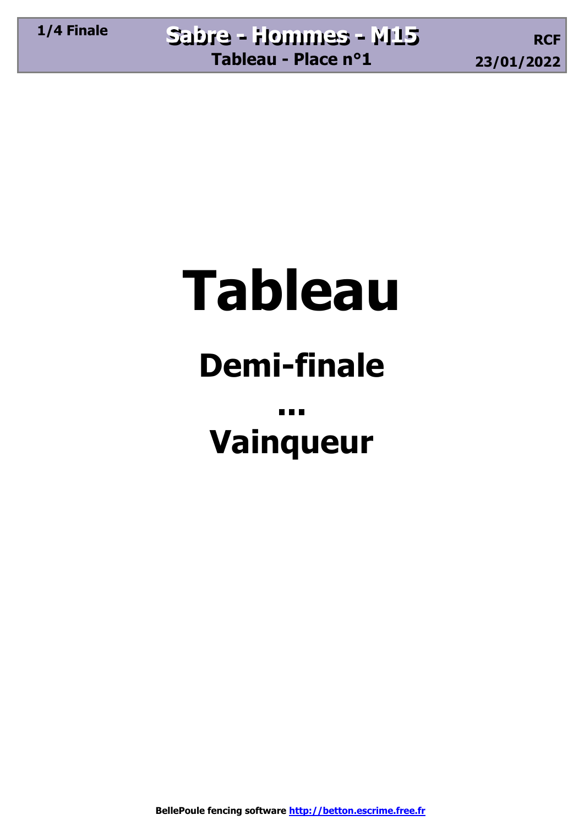## **Tableau Demi-finale ...**

### **Vainqueur**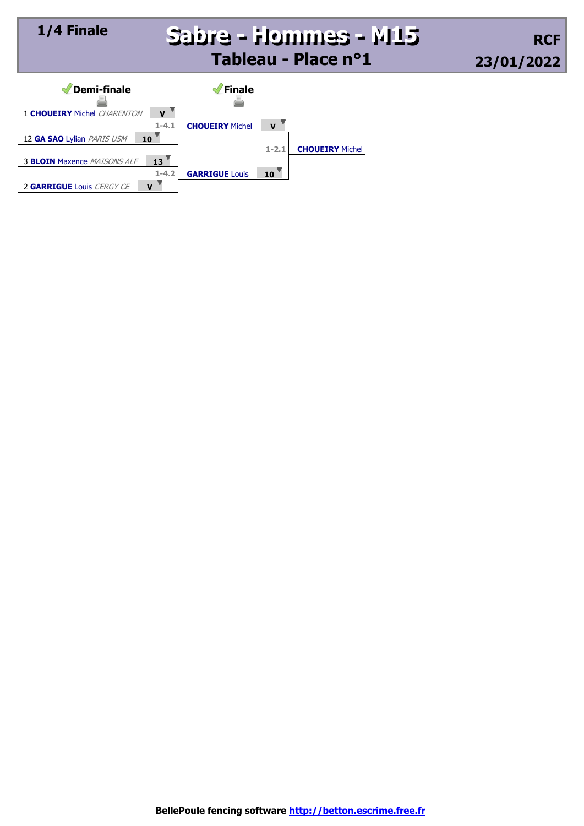### **1/4 Finale Sabre - Hommes - M15 Sabre - Hommes - M15 Tableau - Place n°1**

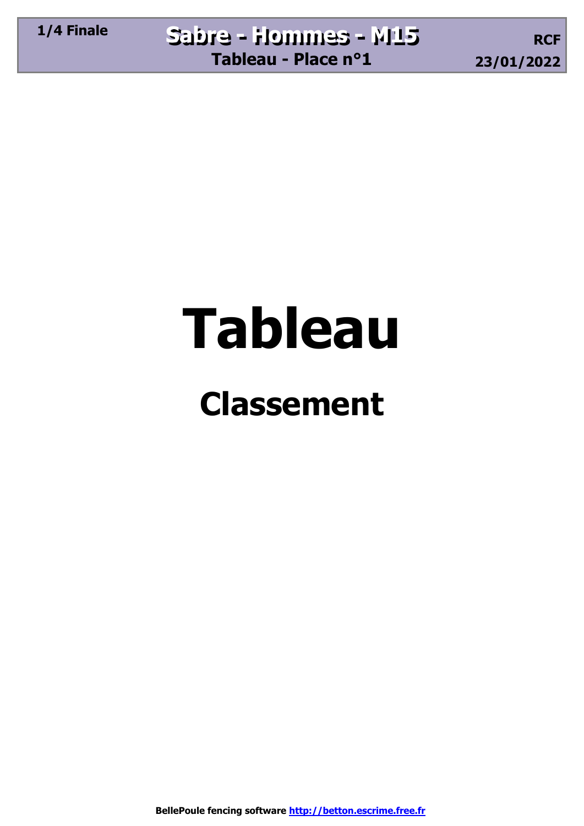## **Tableau**

### **Classement**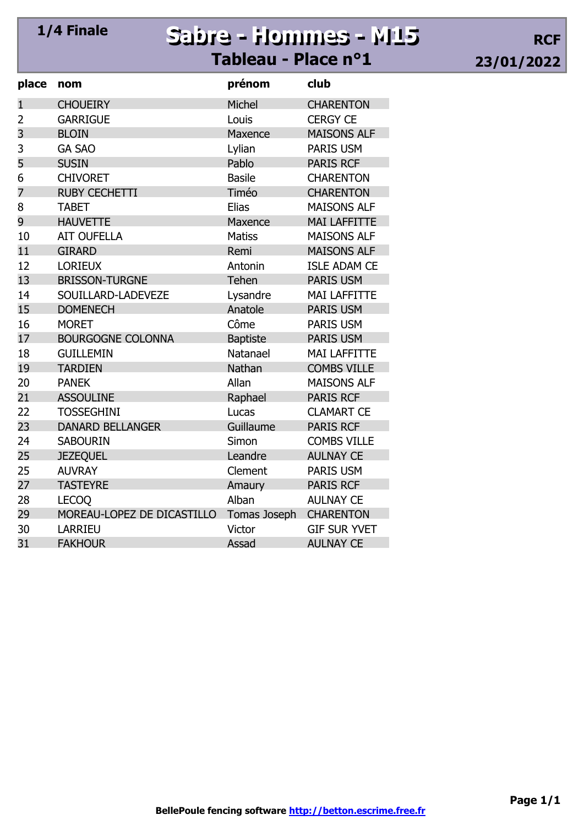### Sabre - Hommes - M15 Tableau - Place n°1

| place          | nom                        | prénom          | club                |
|----------------|----------------------------|-----------------|---------------------|
| $\mathbf{1}$   | <b>CHOUEIRY</b>            | Michel          | <b>CHARENTON</b>    |
| $\overline{2}$ | <b>GARRIGUE</b>            | Louis           | <b>CERGY CE</b>     |
| 3              | <b>BLOIN</b>               | Maxence         | <b>MAISONS ALF</b>  |
| 3              | <b>GA SAO</b>              | Lylian          | <b>PARIS USM</b>    |
| 5              | <b>SUSIN</b>               | Pablo           | <b>PARIS RCF</b>    |
| 6              | <b>CHIVORET</b>            | <b>Basile</b>   | <b>CHARENTON</b>    |
| 7              | <b>RUBY CECHETTI</b>       | Timéo           | <b>CHARENTON</b>    |
| 8              | <b>TABET</b>               | <b>Elias</b>    | <b>MAISONS ALF</b>  |
| 9              | <b>HAUVETTE</b>            | Maxence         | <b>MAI LAFFITTE</b> |
| 10             | <b>AIT OUFELLA</b>         | <b>Matiss</b>   | <b>MAISONS ALF</b>  |
| 11             | <b>GIRARD</b>              | Remi            | <b>MAISONS ALF</b>  |
| 12             | <b>LORIEUX</b>             | Antonin         | <b>ISLE ADAM CE</b> |
| 13             | <b>BRISSON-TURGNE</b>      | Tehen           | <b>PARIS USM</b>    |
| 14             | SOUILLARD-LADEVEZE         | Lysandre        | <b>MAI LAFFITTE</b> |
| 15             | <b>DOMENECH</b>            | Anatole         | <b>PARIS USM</b>    |
| 16             | <b>MORET</b>               | Côme            | <b>PARIS USM</b>    |
| 17             | <b>BOURGOGNE COLONNA</b>   | <b>Baptiste</b> | <b>PARIS USM</b>    |
| 18             | <b>GUILLEMIN</b>           | Natanael        | <b>MAI LAFFITTE</b> |
| 19             | <b>TARDIEN</b>             | Nathan          | <b>COMBS VILLE</b>  |
| 20             | <b>PANEK</b>               | Allan           | <b>MAISONS ALF</b>  |
| 21             | <b>ASSOULINE</b>           | Raphael         | <b>PARIS RCF</b>    |
| 22             | <b>TOSSEGHINI</b>          | Lucas           | <b>CLAMART CE</b>   |
| 23             | <b>DANARD BELLANGER</b>    | Guillaume       | <b>PARIS RCF</b>    |
| 24             | <b>SABOURIN</b>            | Simon           | <b>COMBS VILLE</b>  |
| 25             | <b>JEZEQUEL</b>            | Leandre         | <b>AULNAY CE</b>    |
| 25             | <b>AUVRAY</b>              | Clement         | <b>PARIS USM</b>    |
| 27             | <b>TASTEYRE</b>            | Amaury          | <b>PARIS RCF</b>    |
| 28             | <b>LECOQ</b>               | Alban           | <b>AULNAY CE</b>    |
| 29             | MOREAU-LOPEZ DE DICASTILLO | Tomas Joseph    | <b>CHARENTON</b>    |
| 30             | <b>LARRIEU</b>             | Victor          | <b>GIF SUR YVET</b> |
| 31             | <b>FAKHOUR</b>             | Assad           | <b>AULNAY CE</b>    |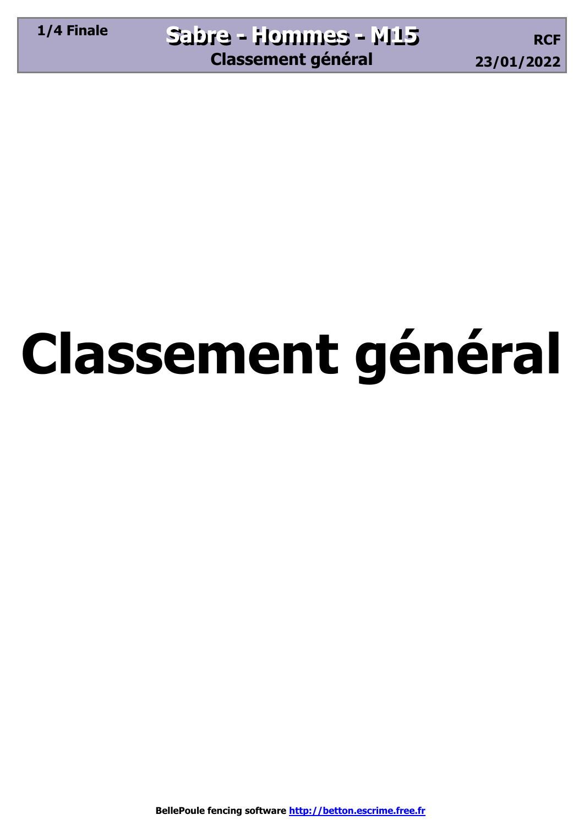# **Classement général**